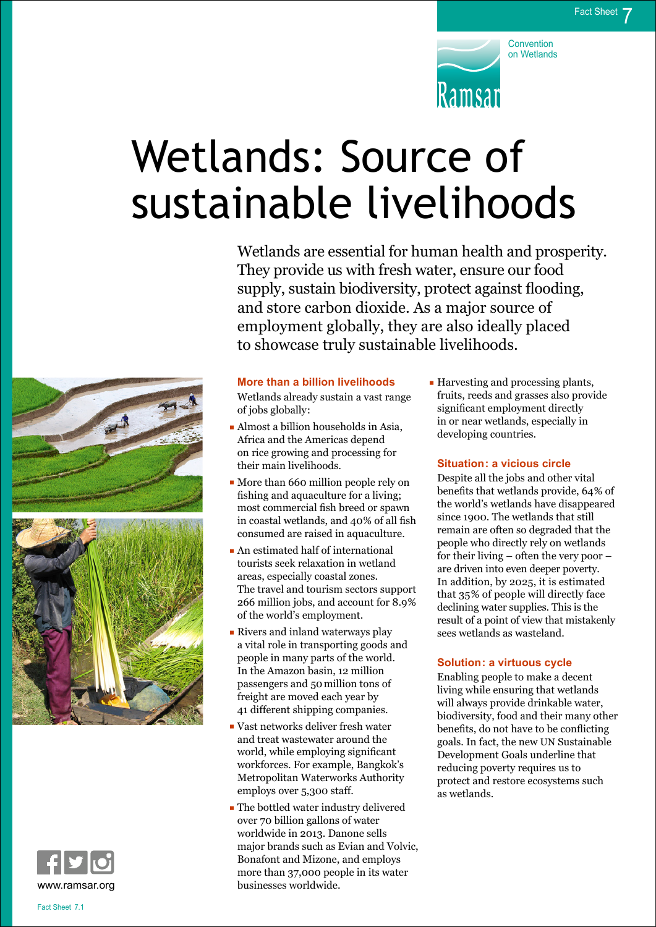

# Wetlands: Source of sustainable livelihoods

Wetlands are essential for human health and prosperity. They provide us with fresh water, ensure our food supply, sustain biodiversity, protect against flooding, and store carbon dioxide. As a major source of employment globally, they are also ideally placed to showcase truly sustainable livelihoods.





#### **More than a billion livelihoods**

Wetlands already sustain a vast range of jobs globally:

- Almost a billion households in Asia, Africa and the Americas depend on rice growing and processing for their main livelihoods.
- More than 660 million people rely on fishing and aquaculture for a living; most commercial fish breed or spawn in coastal wetlands, and 40% of all fish consumed are raised in aquaculture.
- An estimated half of international tourists seek relaxation in wetland areas, especially coastal zones. The travel and tourism sectors support 266 million jobs, and account for 8.9% of the world's employment.
- Rivers and inland waterways play a vital role in transporting goods and people in many parts of the world. In the Amazon basin, 12 million passengers and 50million tons of freight are moved each year by 41 different shipping companies.
- Vast networks deliver fresh water and treat wastewater around the world, while employing significant workforces. For example, Bangkok's Metropolitan Waterworks Authority employs over 5,300 staff.
- The bottled water industry delivered over 70 billion gallons of water worldwide in 2013. Danone sells major brands such as Evian and Volvic, Bonafont and Mizone, and employs more than 37,000 people in its water businesses worldwide.

– Harvesting and processing plants, fruits, reeds and grasses also provide significant employment directly in or near wetlands, especially in developing countries.

#### **Situation: a vicious circle**

Despite all the jobs and other vital benefits that wetlands provide, 64% of the world's wetlands have disappeared since 1900. The wetlands that still remain are often so degraded that the people who directly rely on wetlands for their living – often the very poor – are driven into even deeper poverty. In addition, by 2025, it is estimated that 35% of people will directly face declining water supplies. This is the result of a point of view that mistakenly sees wetlands as wasteland.

#### **Solution: a virtuous cycle**

Enabling people to make a decent living while ensuring that wetlands will always provide drinkable water, biodiversity, food and their many other benefits, do not have to be conflicting goals. In fact, the new UN Sustainable Development Goals underline that reducing poverty requires us to protect and restore ecosystems such as wetlands.

Fact Sheet 7.1